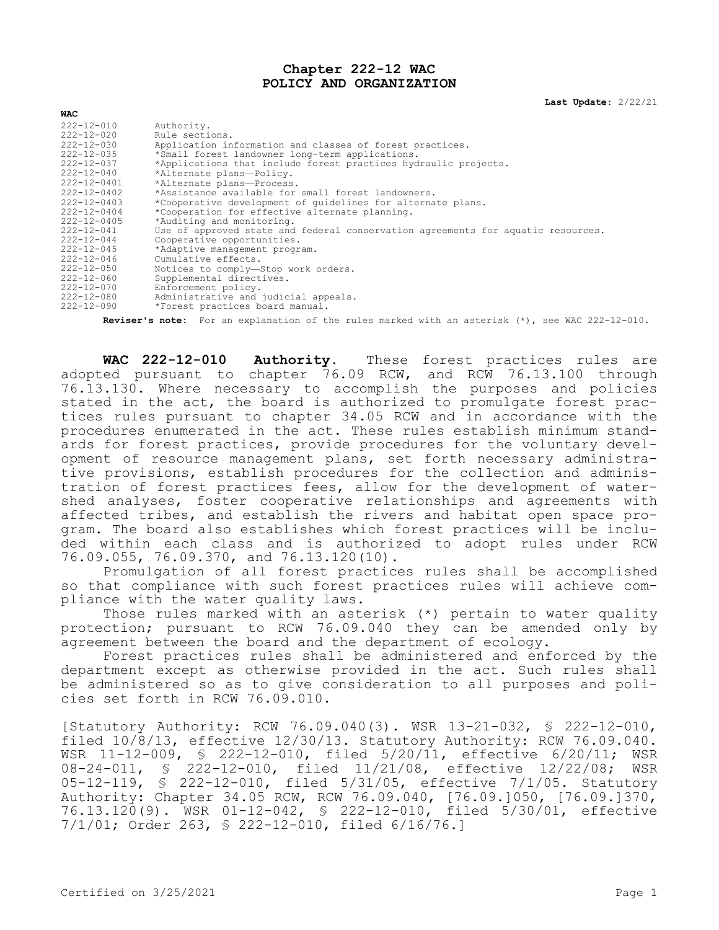## **Chapter 222-12 WAC POLICY AND ORGANIZATION**

**Last Update:** 2/22/21

| $222 - 12 - 010$  | Authority.                                                                       |
|-------------------|----------------------------------------------------------------------------------|
| $222 - 12 - 020$  | Rule sections.                                                                   |
| $222 - 12 - 030$  | Application information and classes of forest practices.                         |
| $222 - 12 - 035$  | *Small forest landowner long-term applications.                                  |
| $222 - 12 - 037$  | *Applications that include forest practices hydraulic projects.                  |
| $222 - 12 - 040$  | *Alternate plans-Policy.                                                         |
| 222-12-0401       | *Alternate plans-Process.                                                        |
| $222 - 12 - 0402$ | *Assistance available for small forest landowners.                               |
| $222 - 12 - 0403$ | *Cooperative development of quidelines for alternate plans.                      |
| $222 - 12 - 0404$ | *Cooperation for effective alternate planning.                                   |
| $222 - 12 - 0405$ | *Auditing and monitoring.                                                        |
| $222 - 12 - 041$  | Use of approved state and federal conservation agreements for aquatic resources. |
| $222 - 12 - 044$  | Cooperative opportunities.                                                       |
| $222 - 12 - 045$  | *Adaptive management program.                                                    |
| $222 - 12 - 046$  | Cumulative effects.                                                              |
| $222 - 12 - 050$  | Notices to comply-Stop work orders.                                              |
| $222 - 12 - 060$  | Supplemental directives.                                                         |
| 222-12-070        | Enforcement policy.                                                              |
| 222-12-080        | Administrative and judicial appeals.                                             |
| $222 - 12 - 090$  | *Forest practices board manual.                                                  |
|                   |                                                                                  |

**Reviser's note:** For an explanation of the rules marked with an asterisk (\*), see WAC 222-12-010.

**WAC 222-12-010 Authority.** These forest practices rules are adopted pursuant to chapter 76.09 RCW, and RCW 76.13.100 through 76.13.130. Where necessary to accomplish the purposes and policies stated in the act, the board is authorized to promulgate forest practices rules pursuant to chapter 34.05 RCW and in accordance with the procedures enumerated in the act. These rules establish minimum standards for forest practices, provide procedures for the voluntary development of resource management plans, set forth necessary administrative provisions, establish procedures for the collection and administration of forest practices fees, allow for the development of watershed analyses, foster cooperative relationships and agreements with affected tribes, and establish the rivers and habitat open space program. The board also establishes which forest practices will be included within each class and is authorized to adopt rules under RCW 76.09.055, 76.09.370, and 76.13.120(10).

Promulgation of all forest practices rules shall be accomplished so that compliance with such forest practices rules will achieve compliance with the water quality laws.

Those rules marked with an asterisk (\*) pertain to water quality protection; pursuant to RCW 76.09.040 they can be amended only by agreement between the board and the department of ecology.

Forest practices rules shall be administered and enforced by the department except as otherwise provided in the act. Such rules shall be administered so as to give consideration to all purposes and policies set forth in RCW 76.09.010.

[Statutory Authority: RCW 76.09.040(3). WSR 13-21-032, § 222-12-010, filed 10/8/13, effective 12/30/13. Statutory Authority: RCW 76.09.040. WSR 11-12-009, § 222-12-010, filed 5/20/11, effective 6/20/11; WSR 08-24-011, § 222-12-010, filed 11/21/08, effective 12/22/08; WSR 05-12-119, § 222-12-010, filed 5/31/05, effective 7/1/05. Statutory Authority: Chapter 34.05 RCW, RCW 76.09.040, [76.09.]050, [76.09.]370, 76.13.120(9). WSR 01-12-042, § 222-12-010, filed 5/30/01, effective 7/1/01; Order 263, § 222-12-010, filed 6/16/76.]

**WAC**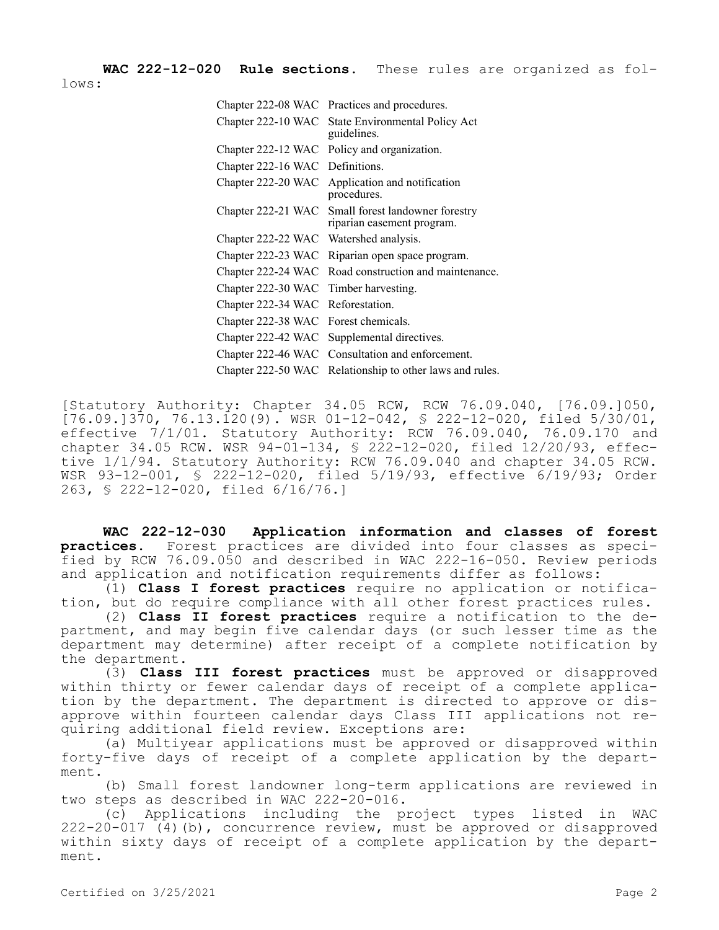**WAC 222-12-020 Rule sections.** These rules are organized as follows:

| Chapter 222-08 WAC Practices and procedures.                                     |
|----------------------------------------------------------------------------------|
| Chapter 222-10 WAC State Environmental Policy Act<br>guidelines.                 |
| Chapter 222-12 WAC Policy and organization.                                      |
| Chapter 222-16 WAC Definitions.                                                  |
| Chapter 222-20 WAC Application and notification<br>procedures.                   |
| Chapter 222-21 WAC Small forest landowner forestry<br>riparian easement program. |
| Chapter 222-22 WAC Watershed analysis.                                           |
| Chapter 222-23 WAC Riparian open space program.                                  |
| Chapter 222-24 WAC Road construction and maintenance.                            |
| Chapter 222-30 WAC Timber harvesting.                                            |
| Chapter 222-34 WAC Reforestation.                                                |
| Chapter 222-38 WAC Forest chemicals.                                             |
| Chapter 222-42 WAC Supplemental directives.                                      |
| Chapter 222-46 WAC Consultation and enforcement.                                 |
| Chapter 222-50 WAC Relationship to other laws and rules.                         |
|                                                                                  |

[Statutory Authority: Chapter 34.05 RCW, RCW 76.09.040, [76.09.]050, [76.09.]370, 76.13.120(9). WSR 01-12-042, § 222-12-020, filed 5/30/01, effective 7/1/01. Statutory Authority: RCW 76.09.040, 76.09.170 and chapter 34.05 RCW. WSR 94-01-134, § 222-12-020, filed 12/20/93, effective 1/1/94. Statutory Authority: RCW 76.09.040 and chapter 34.05 RCW. WSR 93-12-001, § 222-12-020, filed 5/19/93, effective 6/19/93; Order 263, § 222-12-020, filed 6/16/76.]

**WAC 222-12-030 Application information and classes of forest practices.** Forest practices are divided into four classes as specified by RCW 76.09.050 and described in WAC 222-16-050. Review periods and application and notification requirements differ as follows:

(1) **Class I forest practices** require no application or notification, but do require compliance with all other forest practices rules.

(2) **Class II forest practices** require a notification to the department, and may begin five calendar days (or such lesser time as the department may determine) after receipt of a complete notification by the department.

(3) **Class III forest practices** must be approved or disapproved within thirty or fewer calendar days of receipt of a complete application by the department. The department is directed to approve or disapprove within fourteen calendar days Class III applications not requiring additional field review. Exceptions are:

(a) Multiyear applications must be approved or disapproved within forty-five days of receipt of a complete application by the department.

(b) Small forest landowner long-term applications are reviewed in two steps as described in WAC 222-20-016.

(c) Applications including the project types listed in WAC 222-20-017 (4)(b), concurrence review, must be approved or disapproved within sixty days of receipt of a complete application by the department.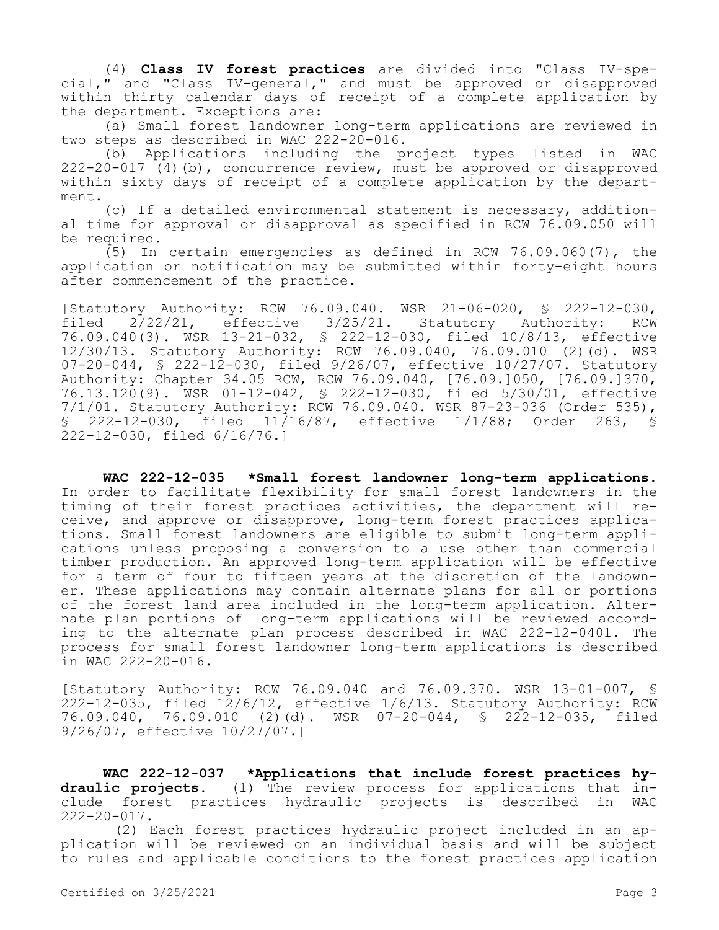(4) **Class IV forest practices** are divided into "Class IV-special," and "Class IV-general," and must be approved or disapproved within thirty calendar days of receipt of a complete application by the department. Exceptions are:

(a) Small forest landowner long-term applications are reviewed in two steps as described in WAC 222-20-016.

(b) Applications including the project types listed in WAC 222-20-017 (4)(b), concurrence review, must be approved or disapproved within sixty days of receipt of a complete application by the department.

(c) If a detailed environmental statement is necessary, additional time for approval or disapproval as specified in RCW 76.09.050 will be required.

(5) In certain emergencies as defined in RCW 76.09.060(7), the application or notification may be submitted within forty-eight hours after commencement of the practice.

[Statutory Authority: RCW 76.09.040. WSR 21-06-020, § 222-12-030, filed 2/22/21, effective 3/25/21. Statutory Authority: RCW 76.09.040(3). WSR 13-21-032, § 222-12-030, filed 10/8/13, effective 12/30/13. Statutory Authority: RCW 76.09.040, 76.09.010 (2)(d). WSR 07-20-044, § 222-12-030, filed 9/26/07, effective 10/27/07. Statutory Authority: Chapter 34.05 RCW, RCW 76.09.040, [76.09.]050, [76.09.]370, 76.13.120(9). WSR 01-12-042, § 222-12-030, filed 5/30/01, effective 7/1/01. Statutory Authority: RCW 76.09.040. WSR 87-23-036 (Order 535), § 222-12-030, filed 11/16/87, effective 1/1/88; Order 263, § 222-12-030, filed 6/16/76.]

**WAC 222-12-035 \*Small forest landowner long-term applications.**  In order to facilitate flexibility for small forest landowners in the timing of their forest practices activities, the department will receive, and approve or disapprove, long-term forest practices applications. Small forest landowners are eligible to submit long-term applications unless proposing a conversion to a use other than commercial timber production. An approved long-term application will be effective for a term of four to fifteen years at the discretion of the landowner. These applications may contain alternate plans for all or portions of the forest land area included in the long-term application. Alternate plan portions of long-term applications will be reviewed according to the alternate plan process described in WAC 222-12-0401. The process for small forest landowner long-term applications is described in WAC 222-20-016.

[Statutory Authority: RCW 76.09.040 and 76.09.370. WSR 13-01-007, § 222-12-035, filed 12/6/12, effective 1/6/13. Statutory Authority: RCW 76.09.040, 76.09.010 (2)(d). WSR 07-20-044, § 222-12-035, filed 9/26/07, effective 10/27/07.]

**WAC 222-12-037 \*Applications that include forest practices hydraulic projects.** (1) The review process for applications that include forest practices hydraulic projects is described in WAC  $222 - 20 - 017$ .

(2) Each forest practices hydraulic project included in an application will be reviewed on an individual basis and will be subject to rules and applicable conditions to the forest practices application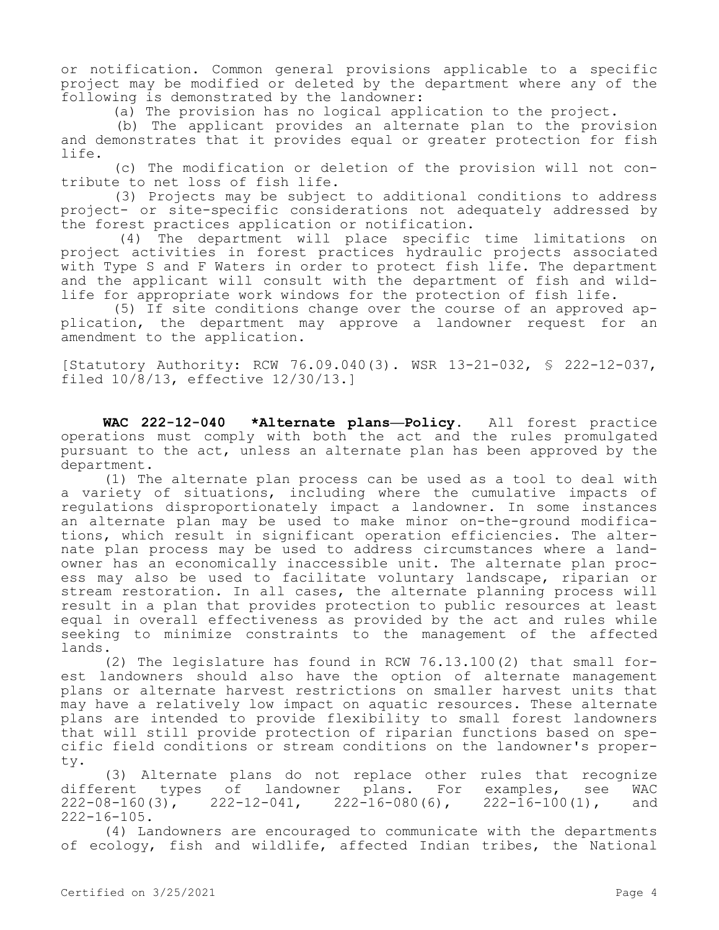or notification. Common general provisions applicable to a specific project may be modified or deleted by the department where any of the following is demonstrated by the landowner:

(a) The provision has no logical application to the project.

(b) The applicant provides an alternate plan to the provision and demonstrates that it provides equal or greater protection for fish life.

(c) The modification or deletion of the provision will not contribute to net loss of fish life.

(3) Projects may be subject to additional conditions to address project- or site-specific considerations not adequately addressed by the forest practices application or notification.

(4) The department will place specific time limitations on project activities in forest practices hydraulic projects associated with Type S and F Waters in order to protect fish life. The department and the applicant will consult with the department of fish and wildlife for appropriate work windows for the protection of fish life.

(5) If site conditions change over the course of an approved application, the department may approve a landowner request for an amendment to the application.

[Statutory Authority: RCW 76.09.040(3). WSR 13-21-032, § 222-12-037, filed 10/8/13, effective 12/30/13.]

**WAC 222-12-040 \*Alternate plans—Policy.** All forest practice operations must comply with both the act and the rules promulgated pursuant to the act, unless an alternate plan has been approved by the department.

(1) The alternate plan process can be used as a tool to deal with a variety of situations, including where the cumulative impacts of regulations disproportionately impact a landowner. In some instances an alternate plan may be used to make minor on-the-ground modifications, which result in significant operation efficiencies. The alternate plan process may be used to address circumstances where a landowner has an economically inaccessible unit. The alternate plan process may also be used to facilitate voluntary landscape, riparian or stream restoration. In all cases, the alternate planning process will result in a plan that provides protection to public resources at least equal in overall effectiveness as provided by the act and rules while seeking to minimize constraints to the management of the affected lands.

(2) The legislature has found in RCW 76.13.100(2) that small forest landowners should also have the option of alternate management plans or alternate harvest restrictions on smaller harvest units that may have a relatively low impact on aquatic resources. These alternate plans are intended to provide flexibility to small forest landowners that will still provide protection of riparian functions based on specific field conditions or stream conditions on the landowner's property.

(3) Alternate plans do not replace other rules that recognize different types of landowner plans. For examples, see WAC  $222-08-160(3)$ ,  $222-12-041$ ,  $222-16-080(6)$ ,  $222-16-100(1)$ , and 222-16-105.

(4) Landowners are encouraged to communicate with the departments of ecology, fish and wildlife, affected Indian tribes, the National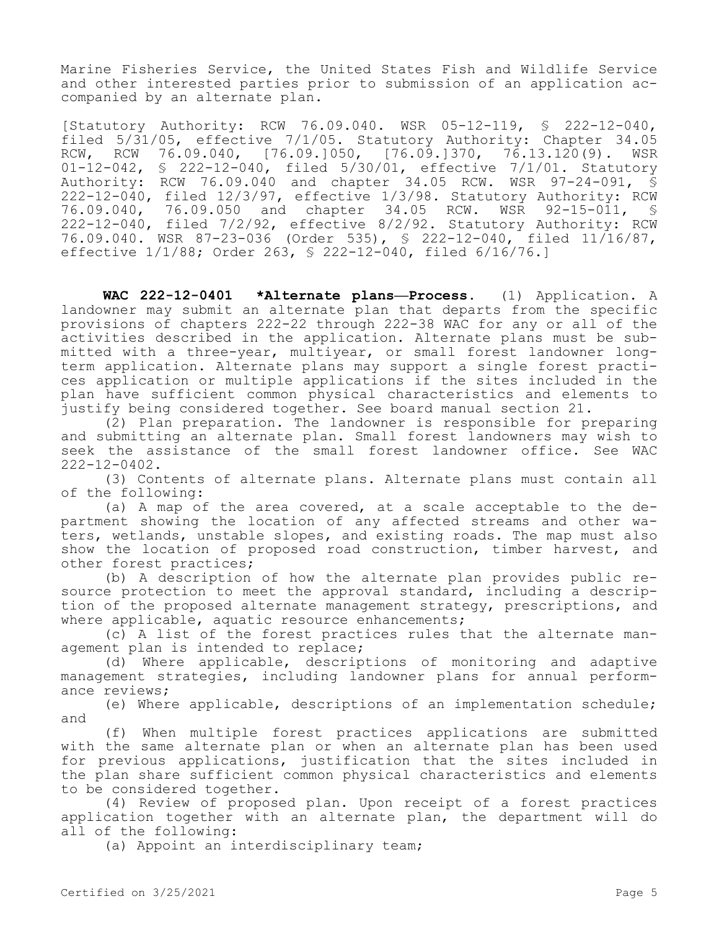Marine Fisheries Service, the United States Fish and Wildlife Service and other interested parties prior to submission of an application accompanied by an alternate plan.

[Statutory Authority: RCW 76.09.040. WSR 05-12-119, § 222-12-040, filed 5/31/05, effective 7/1/05. Statutory Authority: Chapter 34.05 RCW, RCW 76.09.040, [76.09.]050, [76.09.]370, 76.13.120(9). 01-12-042, § 222-12-040, filed 5/30/01, effective 7/1/01. Statutory Authority: RCW 76.09.040 and chapter 34.05 RCW. WSR 97-24-091, § 222-12-040, filed 12/3/97, effective 1/3/98. Statutory Authority: RCW 76.09.040, 76.09.050 and chapter 34.05 RCW. WSR 92-15-011, § 222-12-040, filed 7/2/92, effective 8/2/92. Statutory Authority: RCW 76.09.040. WSR 87-23-036 (Order 535), § 222-12-040, filed 11/16/87, effective 1/1/88; Order 263, § 222-12-040, filed 6/16/76.]

**WAC 222-12-0401 \*Alternate plans—Process.** (1) Application. A landowner may submit an alternate plan that departs from the specific provisions of chapters 222-22 through 222-38 WAC for any or all of the activities described in the application. Alternate plans must be submitted with a three-year, multiyear, or small forest landowner longterm application. Alternate plans may support a single forest practices application or multiple applications if the sites included in the plan have sufficient common physical characteristics and elements to justify being considered together. See board manual section 21.

(2) Plan preparation. The landowner is responsible for preparing and submitting an alternate plan. Small forest landowners may wish to seek the assistance of the small forest landowner office. See WAC 222-12-0402.

(3) Contents of alternate plans. Alternate plans must contain all of the following:

(a) A map of the area covered, at a scale acceptable to the department showing the location of any affected streams and other waters, wetlands, unstable slopes, and existing roads. The map must also show the location of proposed road construction, timber harvest, and other forest practices;

(b) A description of how the alternate plan provides public resource protection to meet the approval standard, including a description of the proposed alternate management strategy, prescriptions, and where applicable, aquatic resource enhancements;

(c) A list of the forest practices rules that the alternate management plan is intended to replace;

(d) Where applicable, descriptions of monitoring and adaptive management strategies, including landowner plans for annual performance reviews;

(e) Where applicable, descriptions of an implementation schedule; and

(f) When multiple forest practices applications are submitted with the same alternate plan or when an alternate plan has been used for previous applications, justification that the sites included in the plan share sufficient common physical characteristics and elements to be considered together.

(4) Review of proposed plan. Upon receipt of a forest practices application together with an alternate plan, the department will do all of the following:

(a) Appoint an interdisciplinary team;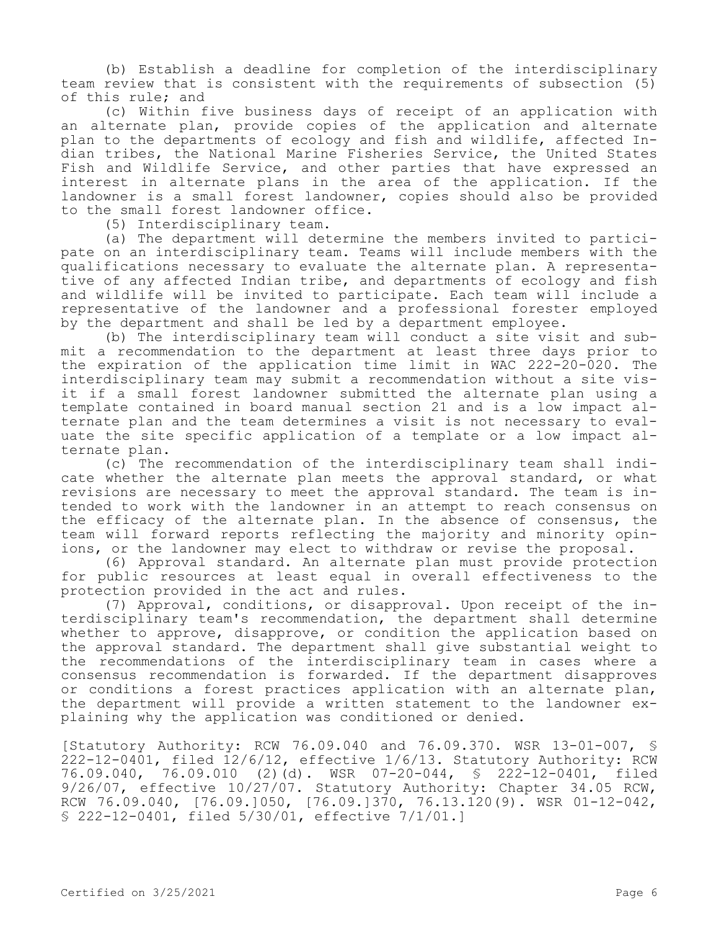(b) Establish a deadline for completion of the interdisciplinary team review that is consistent with the requirements of subsection (5) of this rule; and

(c) Within five business days of receipt of an application with an alternate plan, provide copies of the application and alternate plan to the departments of ecology and fish and wildlife, affected Indian tribes, the National Marine Fisheries Service, the United States Fish and Wildlife Service, and other parties that have expressed an interest in alternate plans in the area of the application. If the landowner is a small forest landowner, copies should also be provided to the small forest landowner office.

(5) Interdisciplinary team.

(a) The department will determine the members invited to participate on an interdisciplinary team. Teams will include members with the qualifications necessary to evaluate the alternate plan. A representative of any affected Indian tribe, and departments of ecology and fish and wildlife will be invited to participate. Each team will include a representative of the landowner and a professional forester employed by the department and shall be led by a department employee.

(b) The interdisciplinary team will conduct a site visit and submit a recommendation to the department at least three days prior to the expiration of the application time limit in WAC 222-20-020. The interdisciplinary team may submit a recommendation without a site visit if a small forest landowner submitted the alternate plan using a template contained in board manual section 21 and is a low impact alternate plan and the team determines a visit is not necessary to evaluate the site specific application of a template or a low impact alternate plan.

(c) The recommendation of the interdisciplinary team shall indicate whether the alternate plan meets the approval standard, or what revisions are necessary to meet the approval standard. The team is intended to work with the landowner in an attempt to reach consensus on the efficacy of the alternate plan. In the absence of consensus, the team will forward reports reflecting the majority and minority opinions, or the landowner may elect to withdraw or revise the proposal.

(6) Approval standard. An alternate plan must provide protection for public resources at least equal in overall effectiveness to the protection provided in the act and rules.

(7) Approval, conditions, or disapproval. Upon receipt of the interdisciplinary team's recommendation, the department shall determine whether to approve, disapprove, or condition the application based on the approval standard. The department shall give substantial weight to the recommendations of the interdisciplinary team in cases where a consensus recommendation is forwarded. If the department disapproves or conditions a forest practices application with an alternate plan, the department will provide a written statement to the landowner explaining why the application was conditioned or denied.

[Statutory Authority: RCW 76.09.040 and 76.09.370. WSR 13-01-007, § 222-12-0401, filed 12/6/12, effective 1/6/13. Statutory Authority: RCW 76.09.040, 76.09.010 (2)(d). WSR 07-20-044, § 222-12-0401, filed 9/26/07, effective 10/27/07. Statutory Authority: Chapter 34.05 RCW, RCW 76.09.040, [76.09.]050, [76.09.]370, 76.13.120(9). WSR 01-12-042, § 222-12-0401, filed 5/30/01, effective 7/1/01.]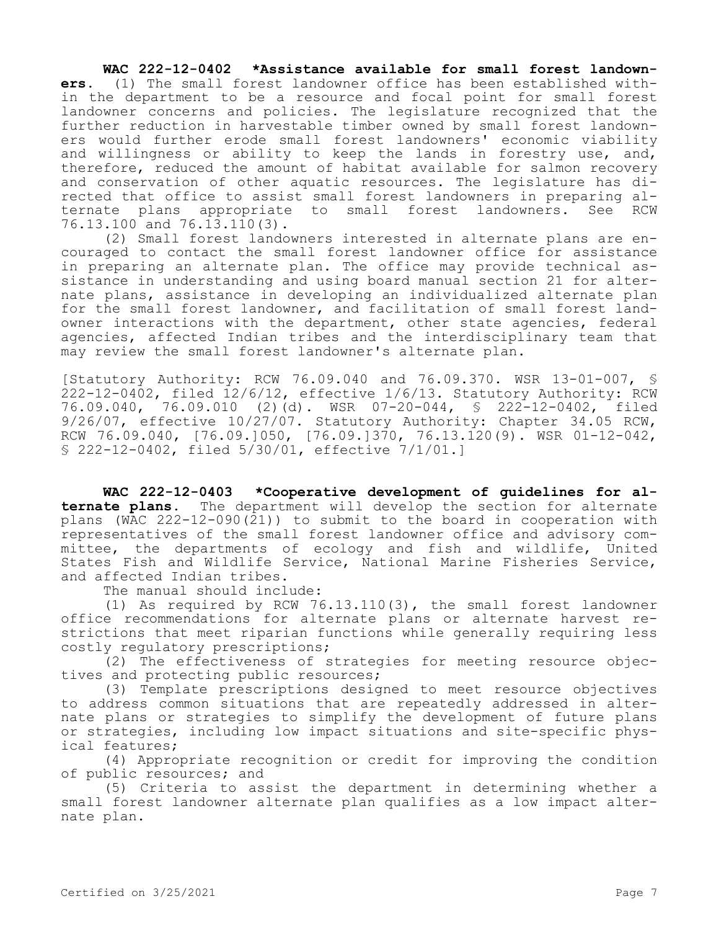## **WAC 222-12-0402 \*Assistance available for small forest landown-**

**ers.** (1) The small forest landowner office has been established within the department to be a resource and focal point for small forest landowner concerns and policies. The legislature recognized that the further reduction in harvestable timber owned by small forest landowners would further erode small forest landowners' economic viability and willingness or ability to keep the lands in forestry use, and, therefore, reduced the amount of habitat available for salmon recovery and conservation of other aquatic resources. The legislature has directed that office to assist small forest landowners in preparing alternate plans appropriate to small forest landowners. See RCW 76.13.100 and 76.13.110(3).

(2) Small forest landowners interested in alternate plans are encouraged to contact the small forest landowner office for assistance in preparing an alternate plan. The office may provide technical assistance in understanding and using board manual section 21 for alternate plans, assistance in developing an individualized alternate plan for the small forest landowner, and facilitation of small forest landowner interactions with the department, other state agencies, federal agencies, affected Indian tribes and the interdisciplinary team that may review the small forest landowner's alternate plan.

[Statutory Authority: RCW 76.09.040 and 76.09.370. WSR 13-01-007, § 222-12-0402, filed 12/6/12, effective 1/6/13. Statutory Authority: RCW 76.09.040, 76.09.010 (2)(d). WSR 07-20-044, § 222-12-0402, filed 9/26/07, effective 10/27/07. Statutory Authority: Chapter 34.05 RCW, RCW 76.09.040, [76.09.]050, [76.09.]370, 76.13.120(9). WSR 01-12-042, § 222-12-0402, filed 5/30/01, effective 7/1/01.]

**WAC 222-12-0403 \*Cooperative development of guidelines for alternate plans.** The department will develop the section for alternate plans (WAC 222-12-090(21)) to submit to the board in cooperation with representatives of the small forest landowner office and advisory committee, the departments of ecology and fish and wildlife, United States Fish and Wildlife Service, National Marine Fisheries Service, and affected Indian tribes.

The manual should include:

(1) As required by RCW 76.13.110(3), the small forest landowner office recommendations for alternate plans or alternate harvest restrictions that meet riparian functions while generally requiring less costly regulatory prescriptions;

(2) The effectiveness of strategies for meeting resource objectives and protecting public resources;

(3) Template prescriptions designed to meet resource objectives to address common situations that are repeatedly addressed in alternate plans or strategies to simplify the development of future plans or strategies, including low impact situations and site-specific physical features;

(4) Appropriate recognition or credit for improving the condition of public resources; and

(5) Criteria to assist the department in determining whether a small forest landowner alternate plan qualifies as a low impact alternate plan.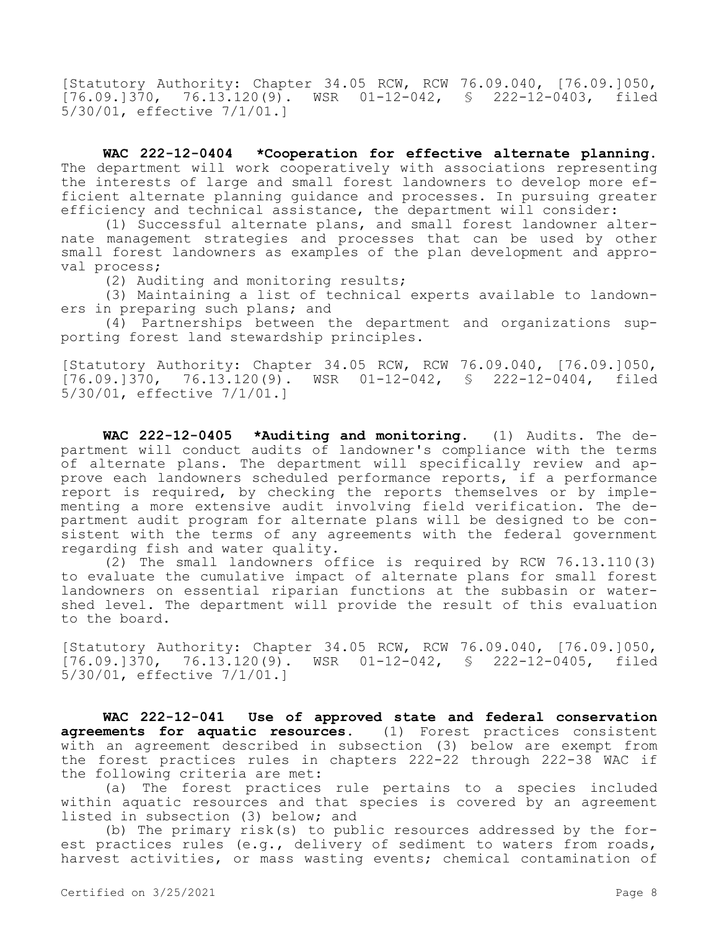[Statutory Authority: Chapter 34.05 RCW, RCW 76.09.040, [76.09.]050,  $[76.09.1370, 76.13.120(9).$  WSR  $01-12-042, S$  222-12-0403, filed 5/30/01, effective 7/1/01.]

**WAC 222-12-0404 \*Cooperation for effective alternate planning.**  The department will work cooperatively with associations representing the interests of large and small forest landowners to develop more efficient alternate planning guidance and processes. In pursuing greater efficiency and technical assistance, the department will consider:

(1) Successful alternate plans, and small forest landowner alternate management strategies and processes that can be used by other small forest landowners as examples of the plan development and approval process;

(2) Auditing and monitoring results;

(3) Maintaining a list of technical experts available to landowners in preparing such plans; and

(4) Partnerships between the department and organizations supporting forest land stewardship principles.

[Statutory Authority: Chapter 34.05 RCW, RCW 76.09.040, [76.09.]050, [76.09.]370, 76.13.120(9). WSR 01-12-042, § 222-12-0404, filed 5/30/01, effective 7/1/01.]

**WAC 222-12-0405 \*Auditing and monitoring.** (1) Audits. The department will conduct audits of landowner's compliance with the terms of alternate plans. The department will specifically review and approve each landowners scheduled performance reports, if a performance report is required, by checking the reports themselves or by implementing a more extensive audit involving field verification. The department audit program for alternate plans will be designed to be consistent with the terms of any agreements with the federal government regarding fish and water quality.

(2) The small landowners office is required by RCW 76.13.110(3) to evaluate the cumulative impact of alternate plans for small forest landowners on essential riparian functions at the subbasin or watershed level. The department will provide the result of this evaluation to the board.

[Statutory Authority: Chapter 34.05 RCW, RCW 76.09.040, [76.09.]050, [76.09.]370, 76.13.120(9). WSR 01-12-042, § 222-12-0405, filed 5/30/01, effective 7/1/01.]

**WAC 222-12-041 Use of approved state and federal conservation agreements for aquatic resources.** (1) Forest practices consistent with an agreement described in subsection (3) below are exempt from the forest practices rules in chapters 222-22 through 222-38 WAC if the following criteria are met:

(a) The forest practices rule pertains to a species included within aquatic resources and that species is covered by an agreement listed in subsection (3) below; and

(b) The primary risk(s) to public resources addressed by the forest practices rules (e.g., delivery of sediment to waters from roads, harvest activities, or mass wasting events; chemical contamination of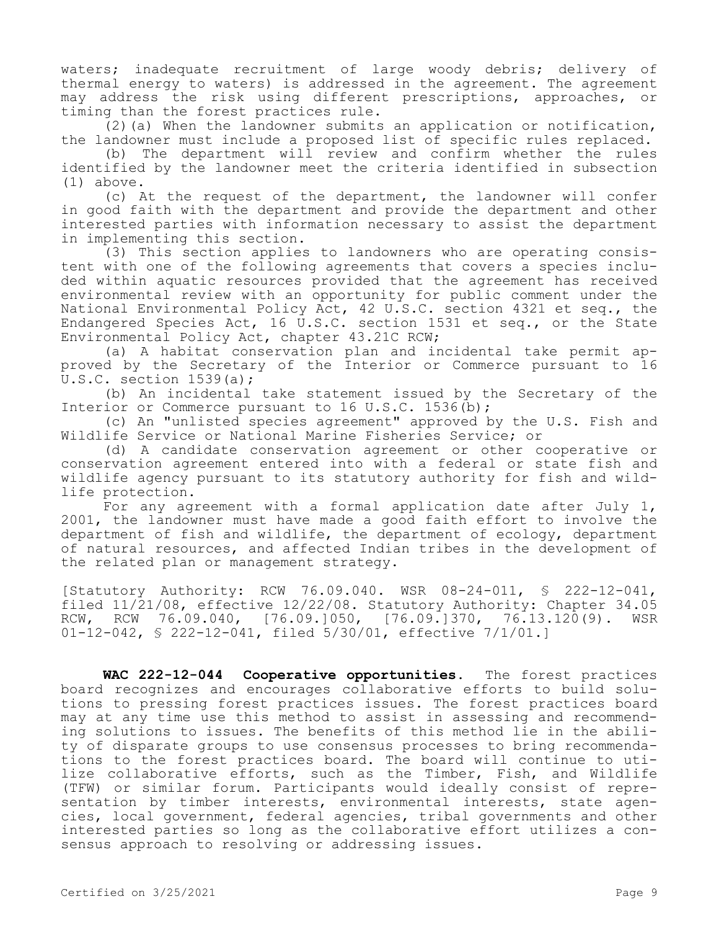waters; inadequate recruitment of large woody debris; delivery of thermal energy to waters) is addressed in the agreement. The agreement may address the risk using different prescriptions, approaches, or timing than the forest practices rule.

 $(2)$  (a) When the landowner submits an application or notification, the landowner must include a proposed list of specific rules replaced.

(b) The department will review and confirm whether the rules identified by the landowner meet the criteria identified in subsection (1) above.

(c) At the request of the department, the landowner will confer in good faith with the department and provide the department and other interested parties with information necessary to assist the department in implementing this section.

(3) This section applies to landowners who are operating consistent with one of the following agreements that covers a species included within aquatic resources provided that the agreement has received environmental review with an opportunity for public comment under the National Environmental Policy Act, 42 U.S.C. section 4321 et seq., the Endangered Species Act, 16 U.S.C. section 1531 et seq., or the State Environmental Policy Act, chapter 43.21C RCW;

(a) A habitat conservation plan and incidental take permit approved by the Secretary of the Interior or Commerce pursuant to 16 U.S.C. section 1539(a);

(b) An incidental take statement issued by the Secretary of the Interior or Commerce pursuant to 16 U.S.C. 1536(b);

(c) An "unlisted species agreement" approved by the U.S. Fish and Wildlife Service or National Marine Fisheries Service; or

(d) A candidate conservation agreement or other cooperative or conservation agreement entered into with a federal or state fish and wildlife agency pursuant to its statutory authority for fish and wildlife protection.

For any agreement with a formal application date after July 1, 2001, the landowner must have made a good faith effort to involve the department of fish and wildlife, the department of ecology, department of natural resources, and affected Indian tribes in the development of the related plan or management strategy.

[Statutory Authority: RCW 76.09.040. WSR 08-24-011, § 222-12-041, filed 11/21/08, effective 12/22/08. Statutory Authority: Chapter 34.05 RCW, RCW 76.09.040, [76.09.]050, [76.09.]370, 76.13.120(9). WSR 01-12-042, § 222-12-041, filed 5/30/01, effective 7/1/01.]

**WAC 222-12-044 Cooperative opportunities.** The forest practices board recognizes and encourages collaborative efforts to build solutions to pressing forest practices issues. The forest practices board may at any time use this method to assist in assessing and recommending solutions to issues. The benefits of this method lie in the ability of disparate groups to use consensus processes to bring recommendations to the forest practices board. The board will continue to utilize collaborative efforts, such as the Timber, Fish, and Wildlife (TFW) or similar forum. Participants would ideally consist of representation by timber interests, environmental interests, state agencies, local government, federal agencies, tribal governments and other interested parties so long as the collaborative effort utilizes a consensus approach to resolving or addressing issues.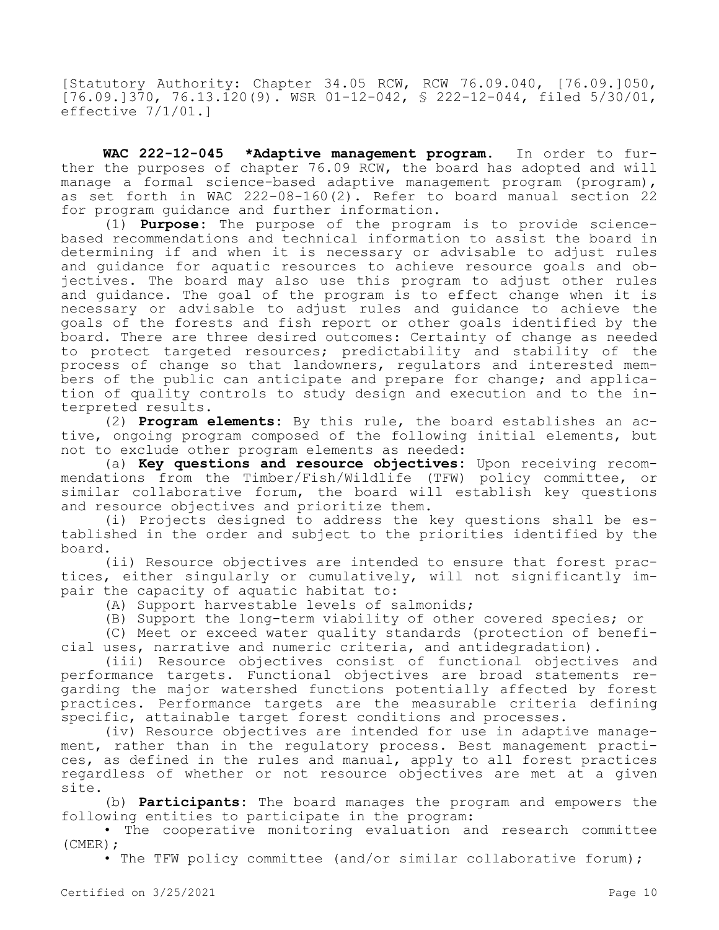[Statutory Authority: Chapter 34.05 RCW, RCW 76.09.040, [76.09.]050,  $[76.09.1370, 76.13.120(9)$ . WSR 01-12-042, § 222-12-044, filed 5/30/01, effective 7/1/01.]

**WAC 222-12-045 \*Adaptive management program.** In order to further the purposes of chapter 76.09 RCW, the board has adopted and will manage a formal science-based adaptive management program (program), as set forth in WAC 222-08-160(2). Refer to board manual section 22 for program guidance and further information.

(1) **Purpose:** The purpose of the program is to provide sciencebased recommendations and technical information to assist the board in determining if and when it is necessary or advisable to adjust rules and guidance for aquatic resources to achieve resource goals and objectives. The board may also use this program to adjust other rules and guidance. The goal of the program is to effect change when it is necessary or advisable to adjust rules and guidance to achieve the goals of the forests and fish report or other goals identified by the board. There are three desired outcomes: Certainty of change as needed to protect targeted resources; predictability and stability of the process of change so that landowners, regulators and interested members of the public can anticipate and prepare for change; and application of quality controls to study design and execution and to the interpreted results.

(2) **Program elements:** By this rule, the board establishes an active, ongoing program composed of the following initial elements, but not to exclude other program elements as needed:

(a) **Key questions and resource objectives:** Upon receiving recommendations from the Timber/Fish/Wildlife (TFW) policy committee, or similar collaborative forum, the board will establish key questions and resource objectives and prioritize them.

(i) Projects designed to address the key questions shall be established in the order and subject to the priorities identified by the board.

(ii) Resource objectives are intended to ensure that forest practices, either singularly or cumulatively, will not significantly impair the capacity of aquatic habitat to:

- (A) Support harvestable levels of salmonids;
- (B) Support the long-term viability of other covered species; or

(C) Meet or exceed water quality standards (protection of beneficial uses, narrative and numeric criteria, and antidegradation).

(iii) Resource objectives consist of functional objectives and performance targets. Functional objectives are broad statements regarding the major watershed functions potentially affected by forest practices. Performance targets are the measurable criteria defining specific, attainable target forest conditions and processes.

(iv) Resource objectives are intended for use in adaptive management, rather than in the regulatory process. Best management practices, as defined in the rules and manual, apply to all forest practices regardless of whether or not resource objectives are met at a given site.

(b) **Participants:** The board manages the program and empowers the following entities to participate in the program:

• The cooperative monitoring evaluation and research committee (CMER);

• The TFW policy committee (and/or similar collaborative forum);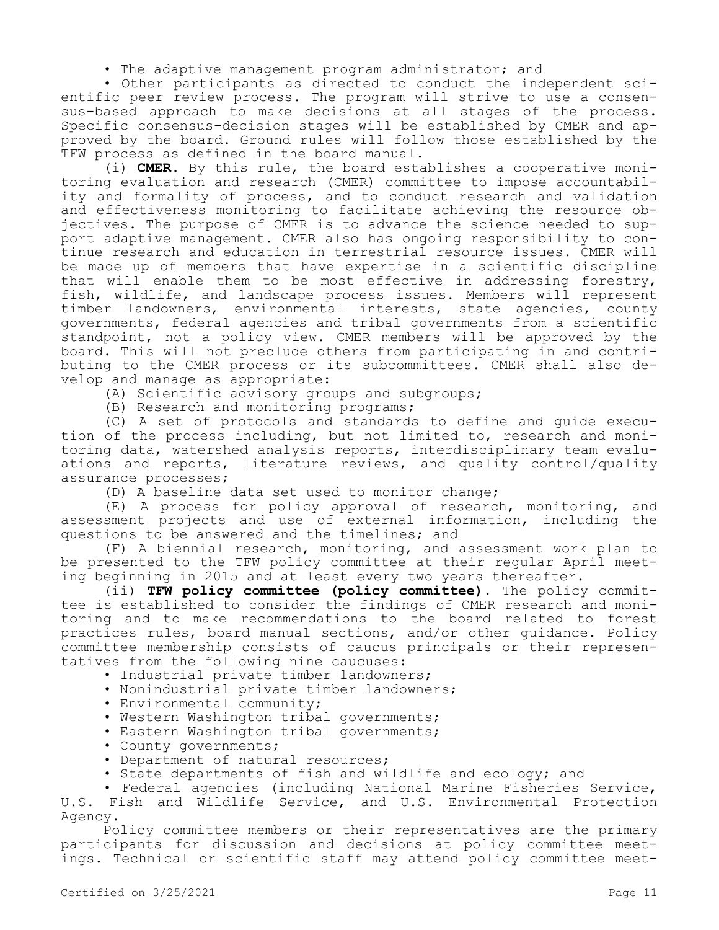• The adaptive management program administrator; and

• Other participants as directed to conduct the independent scientific peer review process. The program will strive to use a consensus-based approach to make decisions at all stages of the process. Specific consensus-decision stages will be established by CMER and approved by the board. Ground rules will follow those established by the TFW process as defined in the board manual.

(i) **CMER.** By this rule, the board establishes a cooperative monitoring evaluation and research (CMER) committee to impose accountability and formality of process, and to conduct research and validation and effectiveness monitoring to facilitate achieving the resource objectives. The purpose of CMER is to advance the science needed to support adaptive management. CMER also has ongoing responsibility to continue research and education in terrestrial resource issues. CMER will be made up of members that have expertise in a scientific discipline that will enable them to be most effective in addressing forestry, fish, wildlife, and landscape process issues. Members will represent timber landowners, environmental interests, state agencies, county governments, federal agencies and tribal governments from a scientific standpoint, not a policy view. CMER members will be approved by the board. This will not preclude others from participating in and contributing to the CMER process or its subcommittees. CMER shall also develop and manage as appropriate:

(A) Scientific advisory groups and subgroups;

(B) Research and monitoring programs;

(C) A set of protocols and standards to define and guide execution of the process including, but not limited to, research and monitoring data, watershed analysis reports, interdisciplinary team evaluations and reports, literature reviews, and quality control/quality assurance processes;

(D) A baseline data set used to monitor change;

(E) A process for policy approval of research, monitoring, and assessment projects and use of external information, including the questions to be answered and the timelines; and

(F) A biennial research, monitoring, and assessment work plan to be presented to the TFW policy committee at their regular April meeting beginning in 2015 and at least every two years thereafter.

(ii) **TFW policy committee (policy committee).** The policy committee is established to consider the findings of CMER research and monitoring and to make recommendations to the board related to forest practices rules, board manual sections, and/or other guidance. Policy committee membership consists of caucus principals or their representatives from the following nine caucuses:

- Industrial private timber landowners;
- Nonindustrial private timber landowners;
- Environmental community;
- Western Washington tribal governments;
- Eastern Washington tribal governments;
- County governments;
- Department of natural resources;
- State departments of fish and wildlife and ecology; and

• Federal agencies (including National Marine Fisheries Service, U.S. Fish and Wildlife Service, and U.S. Environmental Protection Agency.

Policy committee members or their representatives are the primary participants for discussion and decisions at policy committee meetings. Technical or scientific staff may attend policy committee meet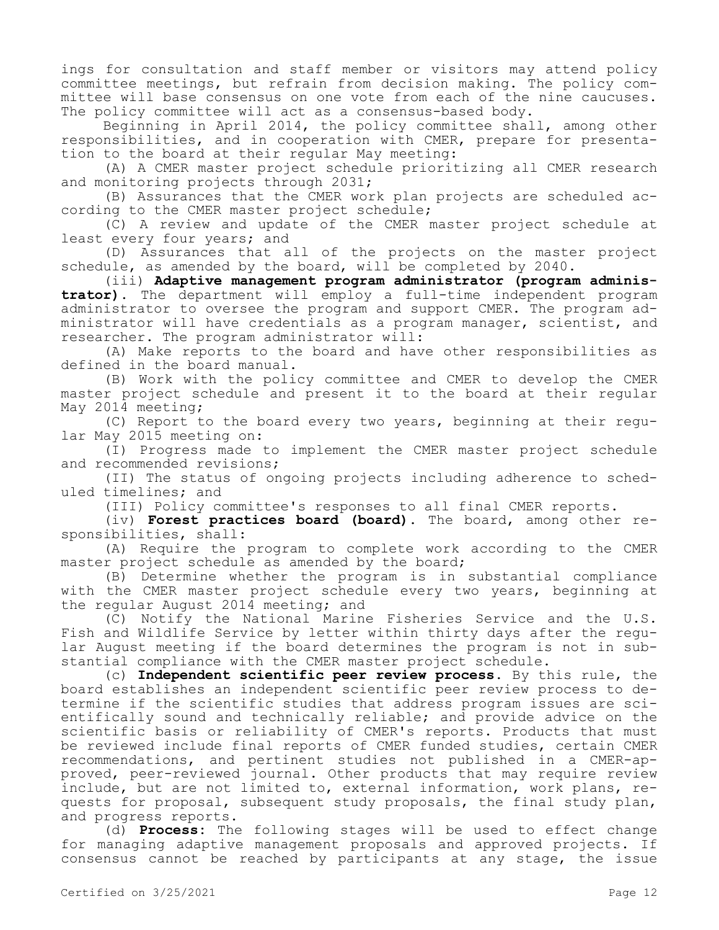ings for consultation and staff member or visitors may attend policy committee meetings, but refrain from decision making. The policy committee will base consensus on one vote from each of the nine caucuses. The policy committee will act as a consensus-based body.

Beginning in April 2014, the policy committee shall, among other responsibilities, and in cooperation with CMER, prepare for presentation to the board at their regular May meeting:

(A) A CMER master project schedule prioritizing all CMER research and monitoring projects through 2031;

(B) Assurances that the CMER work plan projects are scheduled according to the CMER master project schedule;

(C) A review and update of the CMER master project schedule at least every four years; and

(D) Assurances that all of the projects on the master project schedule, as amended by the board, will be completed by 2040.

(iii) **Adaptive management program administrator (program administrator).** The department will employ a full-time independent program administrator to oversee the program and support CMER. The program administrator will have credentials as a program manager, scientist, and researcher. The program administrator will:

(A) Make reports to the board and have other responsibilities as defined in the board manual.

(B) Work with the policy committee and CMER to develop the CMER master project schedule and present it to the board at their regular May 2014 meeting;

(C) Report to the board every two years, beginning at their regular May 2015 meeting on:

(I) Progress made to implement the CMER master project schedule and recommended revisions;

(II) The status of ongoing projects including adherence to scheduled timelines; and

(III) Policy committee's responses to all final CMER reports.

(iv) **Forest practices board (board).** The board, among other responsibilities, shall:

(A) Require the program to complete work according to the CMER master project schedule as amended by the board;

(B) Determine whether the program is in substantial compliance with the CMER master project schedule every two years, beginning at the regular August 2014 meeting; and

(C) Notify the National Marine Fisheries Service and the U.S. Fish and Wildlife Service by letter within thirty days after the regular August meeting if the board determines the program is not in substantial compliance with the CMER master project schedule.

(c) **Independent scientific peer review process.** By this rule, the board establishes an independent scientific peer review process to determine if the scientific studies that address program issues are scientifically sound and technically reliable; and provide advice on the scientific basis or reliability of CMER's reports. Products that must be reviewed include final reports of CMER funded studies, certain CMER recommendations, and pertinent studies not published in a CMER-approved, peer-reviewed journal. Other products that may require review include, but are not limited to, external information, work plans, requests for proposal, subsequent study proposals, the final study plan, and progress reports.

(d) **Process:** The following stages will be used to effect change for managing adaptive management proposals and approved projects. If consensus cannot be reached by participants at any stage, the issue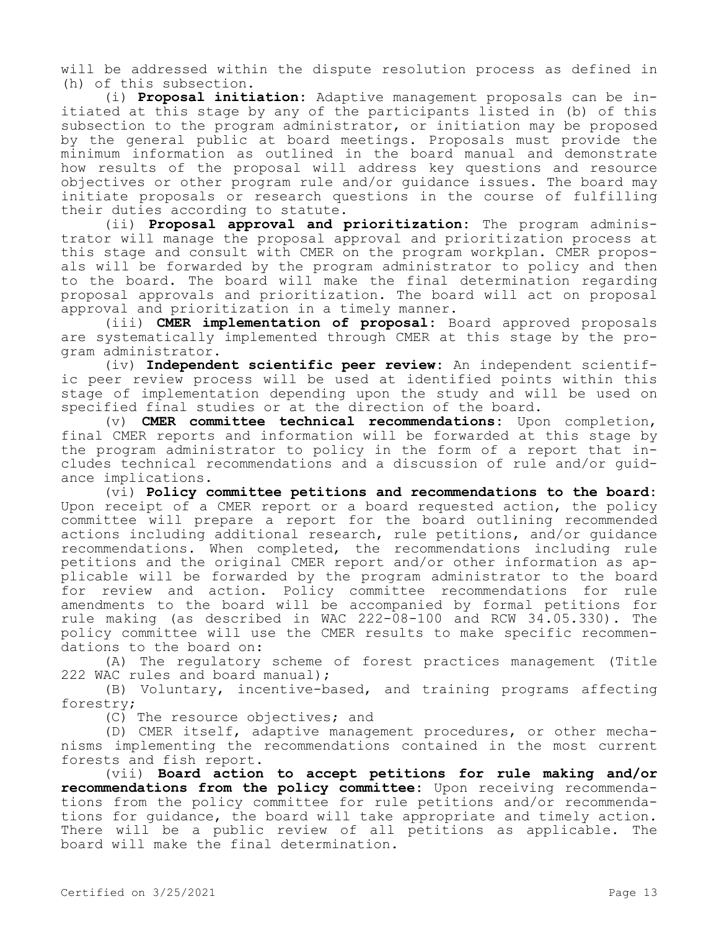will be addressed within the dispute resolution process as defined in (h) of this subsection.

(i) **Proposal initiation:** Adaptive management proposals can be initiated at this stage by any of the participants listed in (b) of this subsection to the program administrator, or initiation may be proposed by the general public at board meetings. Proposals must provide the minimum information as outlined in the board manual and demonstrate how results of the proposal will address key questions and resource objectives or other program rule and/or guidance issues. The board may initiate proposals or research questions in the course of fulfilling their duties according to statute.

(ii) **Proposal approval and prioritization:** The program administrator will manage the proposal approval and prioritization process at this stage and consult with CMER on the program workplan. CMER proposals will be forwarded by the program administrator to policy and then to the board. The board will make the final determination regarding proposal approvals and prioritization. The board will act on proposal approval and prioritization in a timely manner.

(iii) **CMER implementation of proposal:** Board approved proposals are systematically implemented through CMER at this stage by the program administrator.

(iv) **Independent scientific peer review:** An independent scientific peer review process will be used at identified points within this stage of implementation depending upon the study and will be used on specified final studies or at the direction of the board.

(v) **CMER committee technical recommendations:** Upon completion, final CMER reports and information will be forwarded at this stage by the program administrator to policy in the form of a report that includes technical recommendations and a discussion of rule and/or guidance implications.

(vi) **Policy committee petitions and recommendations to the board:**  Upon receipt of a CMER report or a board requested action, the policy committee will prepare a report for the board outlining recommended actions including additional research, rule petitions, and/or guidance recommendations. When completed, the recommendations including rule petitions and the original CMER report and/or other information as applicable will be forwarded by the program administrator to the board for review and action. Policy committee recommendations for rule amendments to the board will be accompanied by formal petitions for rule making (as described in WAC 222-08-100 and RCW 34.05.330). The policy committee will use the CMER results to make specific recommendations to the board on:

(A) The regulatory scheme of forest practices management (Title 222 WAC rules and board manual);

(B) Voluntary, incentive-based, and training programs affecting forestry;

(C) The resource objectives; and

(D) CMER itself, adaptive management procedures, or other mechanisms implementing the recommendations contained in the most current forests and fish report.

(vii) **Board action to accept petitions for rule making and/or recommendations from the policy committee:** Upon receiving recommendations from the policy committee for rule petitions and/or recommendations for guidance, the board will take appropriate and timely action. There will be a public review of all petitions as applicable. The board will make the final determination.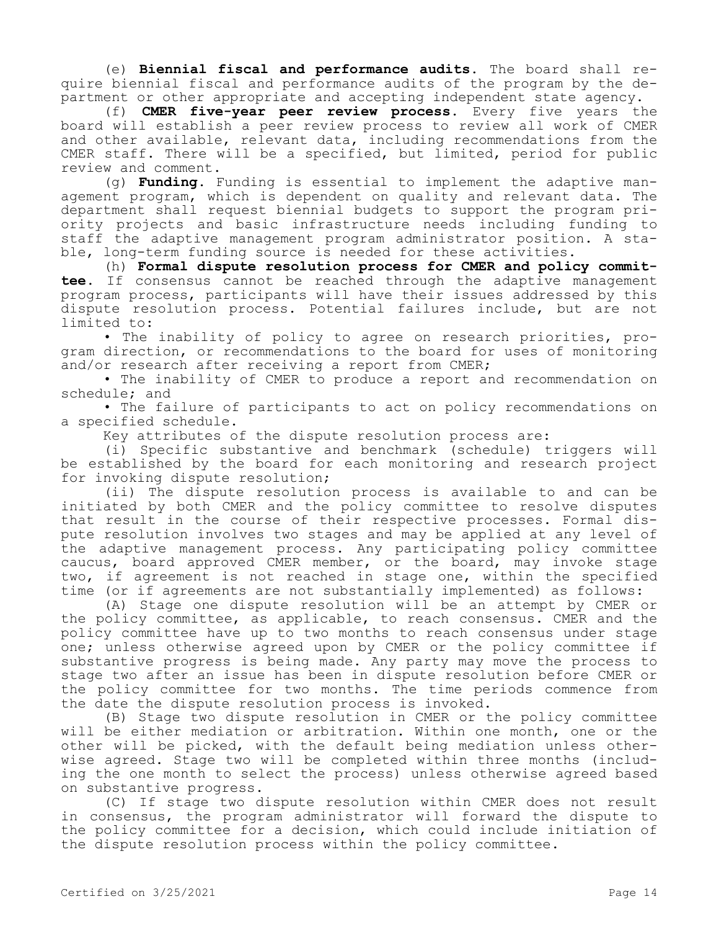(e) **Biennial fiscal and performance audits.** The board shall require biennial fiscal and performance audits of the program by the department or other appropriate and accepting independent state agency.

(f) **CMER five-year peer review process.** Every five years the board will establish a peer review process to review all work of CMER and other available, relevant data, including recommendations from the CMER staff. There will be a specified, but limited, period for public review and comment.

(g) **Funding.** Funding is essential to implement the adaptive management program, which is dependent on quality and relevant data. The department shall request biennial budgets to support the program priority projects and basic infrastructure needs including funding to staff the adaptive management program administrator position. A stable, long-term funding source is needed for these activities.

(h) **Formal dispute resolution process for CMER and policy committee.** If consensus cannot be reached through the adaptive management program process, participants will have their issues addressed by this dispute resolution process. Potential failures include, but are not limited to:

• The inability of policy to agree on research priorities, program direction, or recommendations to the board for uses of monitoring and/or research after receiving a report from CMER;

• The inability of CMER to produce a report and recommendation on schedule; and

• The failure of participants to act on policy recommendations on a specified schedule.

Key attributes of the dispute resolution process are:

(i) Specific substantive and benchmark (schedule) triggers will be established by the board for each monitoring and research project for invoking dispute resolution;

(ii) The dispute resolution process is available to and can be initiated by both CMER and the policy committee to resolve disputes that result in the course of their respective processes. Formal dispute resolution involves two stages and may be applied at any level of the adaptive management process. Any participating policy committee caucus, board approved CMER member, or the board, may invoke stage two, if agreement is not reached in stage one, within the specified time (or if agreements are not substantially implemented) as follows:

(A) Stage one dispute resolution will be an attempt by CMER or the policy committee, as applicable, to reach consensus. CMER and the policy committee have up to two months to reach consensus under stage one; unless otherwise agreed upon by CMER or the policy committee if substantive progress is being made. Any party may move the process to stage two after an issue has been in dispute resolution before CMER or the policy committee for two months. The time periods commence from the date the dispute resolution process is invoked.

(B) Stage two dispute resolution in CMER or the policy committee will be either mediation or arbitration. Within one month, one or the other will be picked, with the default being mediation unless otherwise agreed. Stage two will be completed within three months (including the one month to select the process) unless otherwise agreed based on substantive progress.

(C) If stage two dispute resolution within CMER does not result in consensus, the program administrator will forward the dispute to the policy committee for a decision, which could include initiation of the dispute resolution process within the policy committee.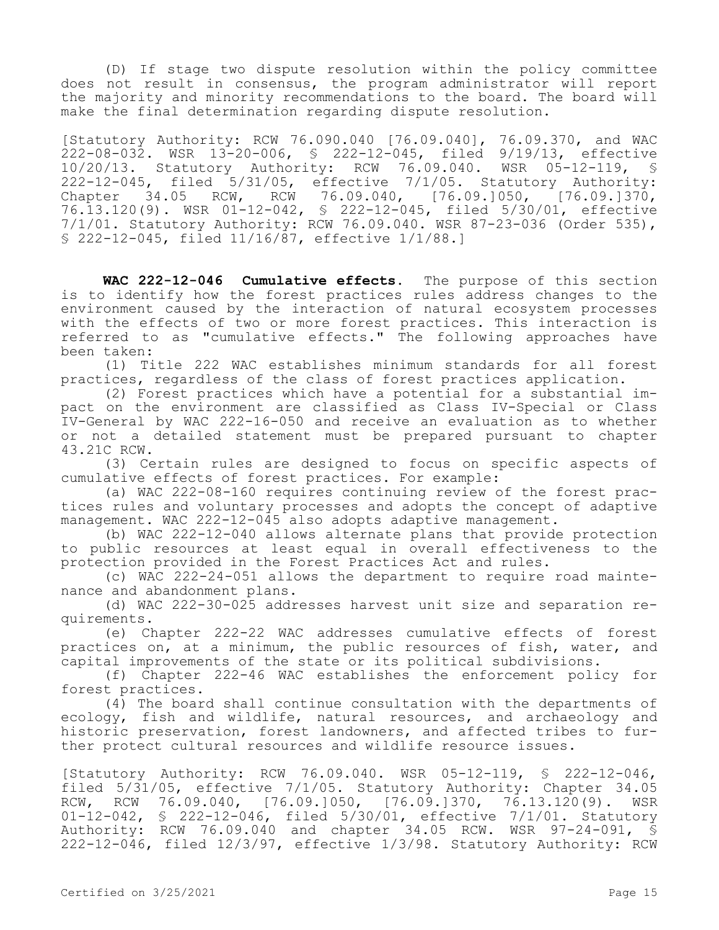(D) If stage two dispute resolution within the policy committee does not result in consensus, the program administrator will report the majority and minority recommendations to the board. The board will make the final determination regarding dispute resolution.

[Statutory Authority: RCW 76.090.040 [76.09.040], 76.09.370, and WAC 222-08-032. WSR 13-20-006, § 222-12-045, filed 9/19/13, effective 10/20/13. Statutory Authority: RCW 76.09.040. WSR 05-12-119, § 222-12-045, filed 5/31/05, effective 7/1/05. Statutory Authority: Chapter 34.05 RCW, RCW 76.09.040, [76.09.]050, [76.09.]370, 76.13.120(9). WSR 01-12-042, § 222-12-045, filed 5/30/01, effective 7/1/01. Statutory Authority: RCW 76.09.040. WSR 87-23-036 (Order 535), § 222-12-045, filed 11/16/87, effective 1/1/88.]

**WAC 222-12-046 Cumulative effects.** The purpose of this section is to identify how the forest practices rules address changes to the environment caused by the interaction of natural ecosystem processes with the effects of two or more forest practices. This interaction is referred to as "cumulative effects." The following approaches have been taken:

(1) Title 222 WAC establishes minimum standards for all forest practices, regardless of the class of forest practices application.

(2) Forest practices which have a potential for a substantial impact on the environment are classified as Class IV-Special or Class IV-General by WAC 222-16-050 and receive an evaluation as to whether or not a detailed statement must be prepared pursuant to chapter 43.21C RCW.

(3) Certain rules are designed to focus on specific aspects of cumulative effects of forest practices. For example:

(a) WAC 222-08-160 requires continuing review of the forest practices rules and voluntary processes and adopts the concept of adaptive management. WAC 222-12-045 also adopts adaptive management.

(b) WAC 222-12-040 allows alternate plans that provide protection to public resources at least equal in overall effectiveness to the protection provided in the Forest Practices Act and rules.

(c) WAC 222-24-051 allows the department to require road maintenance and abandonment plans.

(d) WAC 222-30-025 addresses harvest unit size and separation requirements.

(e) Chapter 222-22 WAC addresses cumulative effects of forest practices on, at a minimum, the public resources of fish, water, and capital improvements of the state or its political subdivisions.

(f) Chapter 222-46 WAC establishes the enforcement policy for forest practices.

(4) The board shall continue consultation with the departments of ecology, fish and wildlife, natural resources, and archaeology and historic preservation, forest landowners, and affected tribes to further protect cultural resources and wildlife resource issues.

[Statutory Authority: RCW 76.09.040. WSR 05-12-119, § 222-12-046, filed 5/31/05, effective 7/1/05. Statutory Authority: Chapter 34.05 RCW, RCW 76.09.040, [76.09.]050, [76.09.]370, 76.13.120(9). WSR 01-12-042, § 222-12-046, filed 5/30/01, effective 7/1/01. Statutory Authority: RCW 76.09.040 and chapter 34.05 RCW. WSR 97-24-091, § 222-12-046, filed 12/3/97, effective 1/3/98. Statutory Authority: RCW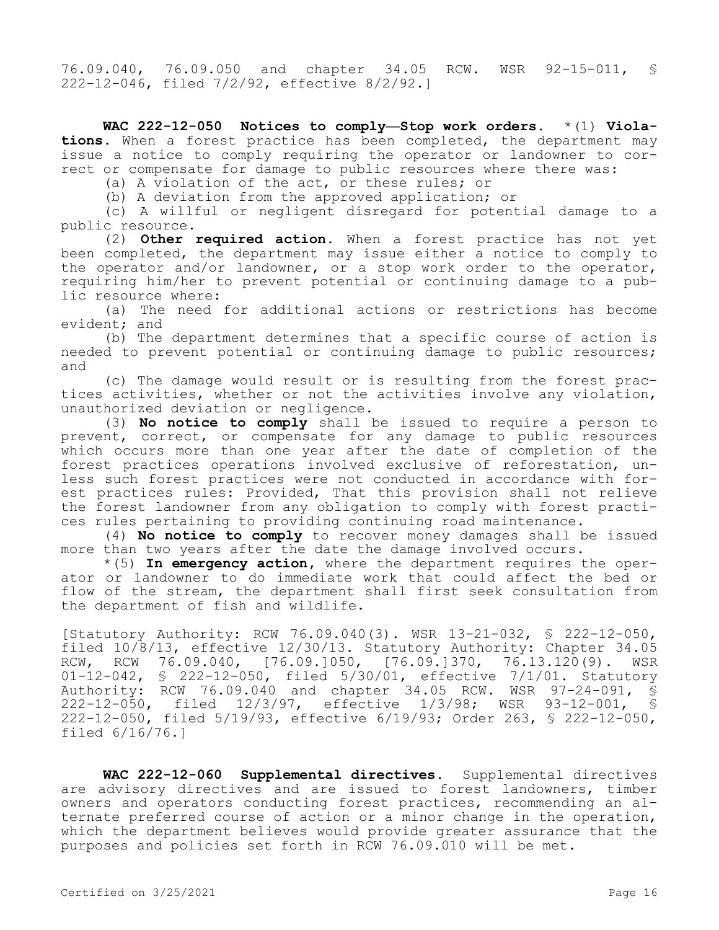76.09.040, 76.09.050 and chapter 34.05 RCW. WSR 92-15-011, § 222-12-046, filed 7/2/92, effective 8/2/92.]

**WAC 222-12-050 Notices to comply—Stop work orders.** \*(1) **Violations.** When a forest practice has been completed, the department may issue a notice to comply requiring the operator or landowner to correct or compensate for damage to public resources where there was:

(a) A violation of the act, or these rules; or

(b) A deviation from the approved application; or

(c) A willful or negligent disregard for potential damage to a public resource.

(2) **Other required action.** When a forest practice has not yet been completed, the department may issue either a notice to comply to the operator and/or landowner, or a stop work order to the operator, requiring him/her to prevent potential or continuing damage to a public resource where:

(a) The need for additional actions or restrictions has become evident; and

(b) The department determines that a specific course of action is needed to prevent potential or continuing damage to public resources; and

(c) The damage would result or is resulting from the forest practices activities, whether or not the activities involve any violation, unauthorized deviation or negligence.

(3) **No notice to comply** shall be issued to require a person to prevent, correct, or compensate for any damage to public resources which occurs more than one year after the date of completion of the forest practices operations involved exclusive of reforestation, unless such forest practices were not conducted in accordance with forest practices rules: Provided, That this provision shall not relieve the forest landowner from any obligation to comply with forest practices rules pertaining to providing continuing road maintenance.

(4) **No notice to comply** to recover money damages shall be issued more than two years after the date the damage involved occurs.

\*(5) **In emergency action,** where the department requires the operator or landowner to do immediate work that could affect the bed or flow of the stream, the department shall first seek consultation from the department of fish and wildlife.

[Statutory Authority: RCW 76.09.040(3). WSR 13-21-032, § 222-12-050, filed 10/8/13, effective 12/30/13. Statutory Authority: Chapter 34.05 RCW, RCW 76.09.040, [76.09.]050, [76.09.]370, 76.13.120(9). WSR 01-12-042, § 222-12-050, filed 5/30/01, effective 7/1/01. Statutory Authority: RCW 76.09.040 and chapter 34.05 RCW. WSR 97-24-091, § 222-12-050, filed 12/3/97, effective 1/3/98; WSR 93-12-001, § 222-12-050, filed 5/19/93, effective 6/19/93; Order 263, § 222-12-050, filed 6/16/76.]

**WAC 222-12-060 Supplemental directives.** Supplemental directives are advisory directives and are issued to forest landowners, timber owners and operators conducting forest practices, recommending an alternate preferred course of action or a minor change in the operation, which the department believes would provide greater assurance that the purposes and policies set forth in RCW 76.09.010 will be met.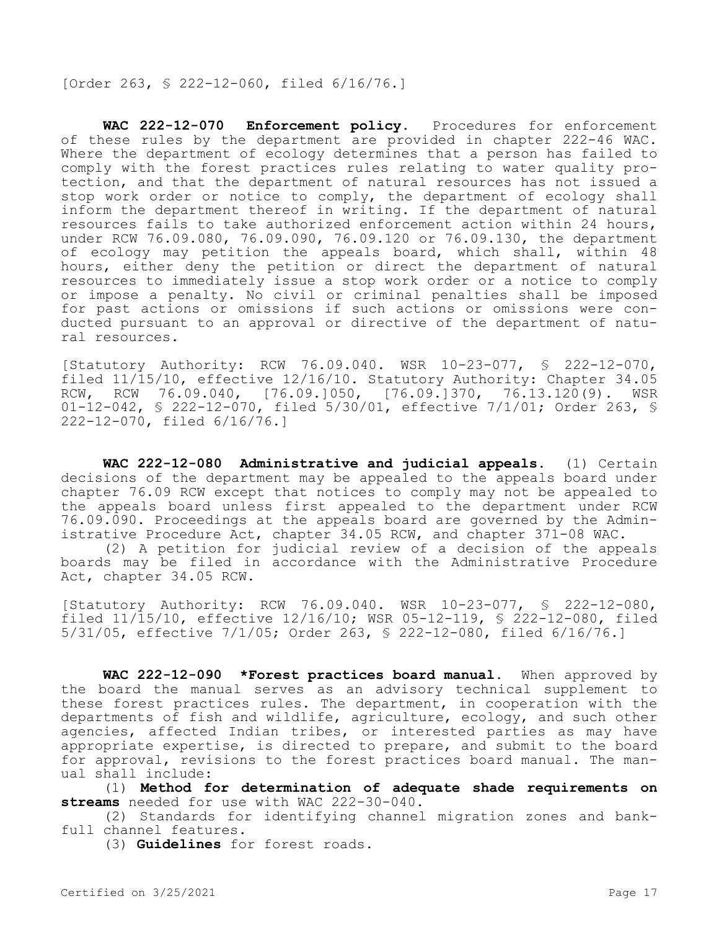[Order 263, § 222-12-060, filed 6/16/76.]

**WAC 222-12-070 Enforcement policy.** Procedures for enforcement of these rules by the department are provided in chapter 222-46 WAC. Where the department of ecology determines that a person has failed to comply with the forest practices rules relating to water quality protection, and that the department of natural resources has not issued a stop work order or notice to comply, the department of ecology shall inform the department thereof in writing. If the department of natural resources fails to take authorized enforcement action within 24 hours, under RCW 76.09.080, 76.09.090, 76.09.120 or 76.09.130, the department of ecology may petition the appeals board, which shall, within 48 hours, either deny the petition or direct the department of natural resources to immediately issue a stop work order or a notice to comply or impose a penalty. No civil or criminal penalties shall be imposed for past actions or omissions if such actions or omissions were conducted pursuant to an approval or directive of the department of natural resources.

[Statutory Authority: RCW 76.09.040. WSR 10-23-077, § 222-12-070, filed 11/15/10, effective 12/16/10. Statutory Authority: Chapter 34.05 RCW, RCW 76.09.040, [76.09.]050, [76.09.]370, 76.13.120(9). WSR 01-12-042, § 222-12-070, filed 5/30/01, effective 7/1/01; Order 263, § 222-12-070, filed 6/16/76.]

**WAC 222-12-080 Administrative and judicial appeals.** (1) Certain decisions of the department may be appealed to the appeals board under chapter 76.09 RCW except that notices to comply may not be appealed to the appeals board unless first appealed to the department under RCW 76.09.090. Proceedings at the appeals board are governed by the Administrative Procedure Act, chapter 34.05 RCW, and chapter 371-08 WAC.

(2) A petition for judicial review of a decision of the appeals boards may be filed in accordance with the Administrative Procedure Act, chapter 34.05 RCW.

[Statutory Authority: RCW 76.09.040. WSR 10-23-077, § 222-12-080, filed 11/15/10, effective 12/16/10; WSR 05-12-119, § 222-12-080, filed 5/31/05, effective 7/1/05; Order 263, § 222-12-080, filed 6/16/76.]

**WAC 222-12-090 \*Forest practices board manual.** When approved by the board the manual serves as an advisory technical supplement to these forest practices rules. The department, in cooperation with the departments of fish and wildlife, agriculture, ecology, and such other agencies, affected Indian tribes, or interested parties as may have appropriate expertise, is directed to prepare, and submit to the board for approval, revisions to the forest practices board manual. The manual shall include:

(1) **Method for determination of adequate shade requirements on streams** needed for use with WAC 222-30-040.

(2) Standards for identifying channel migration zones and bankfull channel features.

(3) **Guidelines** for forest roads.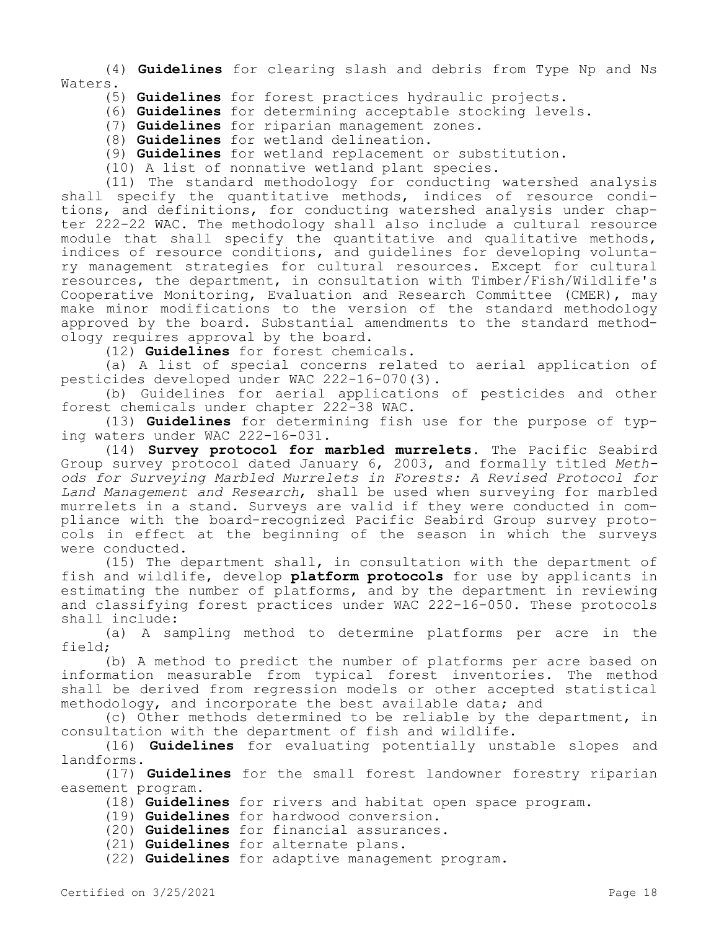(4) **Guidelines** for clearing slash and debris from Type Np and Ns Waters.

- (5) **Guidelines** for forest practices hydraulic projects.
- (6) **Guidelines** for determining acceptable stocking levels.
- (7) **Guidelines** for riparian management zones.
- (8) **Guidelines** for wetland delineation.
- (9) **Guidelines** for wetland replacement or substitution.
- (10) A list of nonnative wetland plant species.

(11) The standard methodology for conducting watershed analysis shall specify the quantitative methods, indices of resource conditions, and definitions, for conducting watershed analysis under chapter 222-22 WAC. The methodology shall also include a cultural resource module that shall specify the quantitative and qualitative methods, indices of resource conditions, and guidelines for developing voluntary management strategies for cultural resources. Except for cultural resources, the department, in consultation with Timber/Fish/Wildlife's Cooperative Monitoring, Evaluation and Research Committee (CMER), may make minor modifications to the version of the standard methodology approved by the board. Substantial amendments to the standard methodology requires approval by the board.

(12) **Guidelines** for forest chemicals.

(a) A list of special concerns related to aerial application of pesticides developed under WAC 222-16-070(3).

(b) Guidelines for aerial applications of pesticides and other forest chemicals under chapter 222-38 WAC.

(13) **Guidelines** for determining fish use for the purpose of typing waters under WAC 222-16-031.

(14) **Survey protocol for marbled murrelets.** The Pacific Seabird Group survey protocol dated January 6, 2003, and formally titled *Methods for Surveying Marbled Murrelets in Forests: A Revised Protocol for Land Management and Research*, shall be used when surveying for marbled murrelets in a stand. Surveys are valid if they were conducted in compliance with the board-recognized Pacific Seabird Group survey protocols in effect at the beginning of the season in which the surveys were conducted.

(15) The department shall, in consultation with the department of fish and wildlife, develop **platform protocols** for use by applicants in estimating the number of platforms, and by the department in reviewing and classifying forest practices under WAC 222-16-050. These protocols shall include:

(a) A sampling method to determine platforms per acre in the field;

(b) A method to predict the number of platforms per acre based on information measurable from typical forest inventories. The method shall be derived from regression models or other accepted statistical methodology, and incorporate the best available data; and

(c) Other methods determined to be reliable by the department, in consultation with the department of fish and wildlife.

(16) **Guidelines** for evaluating potentially unstable slopes and landforms.

(17) **Guidelines** for the small forest landowner forestry riparian easement program.

- (18) **Guidelines** for rivers and habitat open space program.
- (19) **Guidelines** for hardwood conversion.

(20) **Guidelines** for financial assurances.

(21) **Guidelines** for alternate plans.

(22) **Guidelines** for adaptive management program.